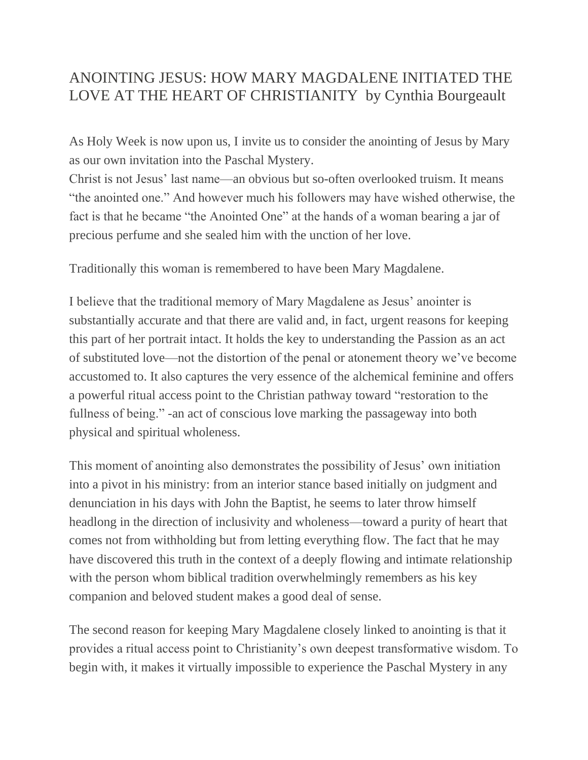## ANOINTING JESUS: HOW MARY MAGDALENE INITIATED THE LOVE AT THE HEART OF CHRISTIANITY by Cynthia Bourgeault

As Holy Week is now upon us, I invite us to consider the anointing of Jesus by Mary as our own invitation into the Paschal Mystery.

Christ is not Jesus' last name—an obvious but so-often overlooked truism. It means "the anointed one." And however much his followers may have wished otherwise, the fact is that he became "the Anointed One" at the hands of a woman bearing a jar of precious perfume and she sealed him with the unction of her love.

Traditionally this woman is remembered to have been Mary Magdalene.

I believe that the traditional memory of Mary Magdalene as Jesus' anointer is substantially accurate and that there are valid and, in fact, urgent reasons for keeping this part of her portrait intact. It holds the key to understanding the Passion as an act of substituted love—not the distortion of the penal or atonement theory we've become accustomed to. It also captures the very essence of the alchemical feminine and offers a powerful ritual access point to the Christian pathway toward "restoration to the fullness of being." -an act of conscious love marking the passageway into both physical and spiritual wholeness.

This moment of anointing also demonstrates the possibility of Jesus' own initiation into a pivot in his ministry: from an interior stance based initially on judgment and denunciation in his days with John the Baptist, he seems to later throw himself headlong in the direction of inclusivity and wholeness—toward a purity of heart that comes not from withholding but from letting everything flow. The fact that he may have discovered this truth in the context of a deeply flowing and intimate relationship with the person whom biblical tradition overwhelmingly remembers as his key companion and beloved student makes a good deal of sense.

The second reason for keeping Mary Magdalene closely linked to anointing is that it provides a ritual access point to Christianity's own deepest transformative wisdom. To begin with, it makes it virtually impossible to experience the Paschal Mystery in any